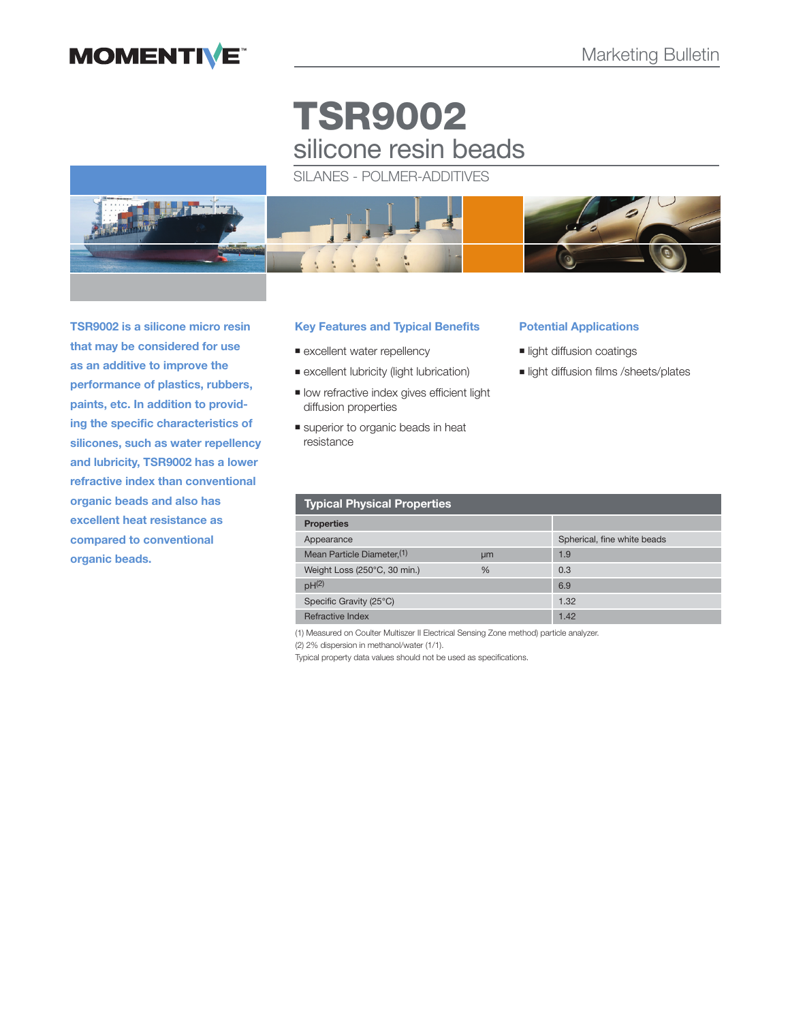## **MOMENTIVE**

# **TSR9002** silicone resin beads

SILANES - POLMER-ADDITIVES



**TSR9002 is a silicone micro resin that may be considered for use as an additive to improve the performance of plastics, rubbers, paints, etc. In addition to providing the specific characteristics of silicones, such as water repellency and lubricity, TSR9002 has a lower refractive index than conventional organic beads and also has excellent heat resistance as compared to conventional organic beads.**

## **Key Features and Typical Benefits**

- **Excellent water repellency**
- excellent lubricity (light lubrication)
- **If** low refractive index gives efficient light diffusion properties
- superior to organic beads in heat resistance

#### **Potential Applications**

- **II** light diffusion coatings
- **I** light diffusion films /sheets/plates

| <b>Typical Physical Properties</b>     |               |                             |  |
|----------------------------------------|---------------|-----------------------------|--|
| <b>Properties</b>                      |               |                             |  |
| Appearance                             |               | Spherical, fine white beads |  |
| Mean Particle Diameter. <sup>(1)</sup> | um            | 1.9                         |  |
| Weight Loss (250°C, 30 min.)           | $\frac{0}{0}$ | 0.3                         |  |
| pH <sup>(2)</sup>                      |               | 6.9                         |  |
| Specific Gravity (25°C)                |               | 1.32                        |  |
| Refractive Index                       |               | 1.42                        |  |

(1) Measured on Coulter Multiszer II Electrical Sensing Zone method) particle analyzer.

(2) 2% dispersion in methanol/water (1/1).

Typical property data values should not be used as specifications.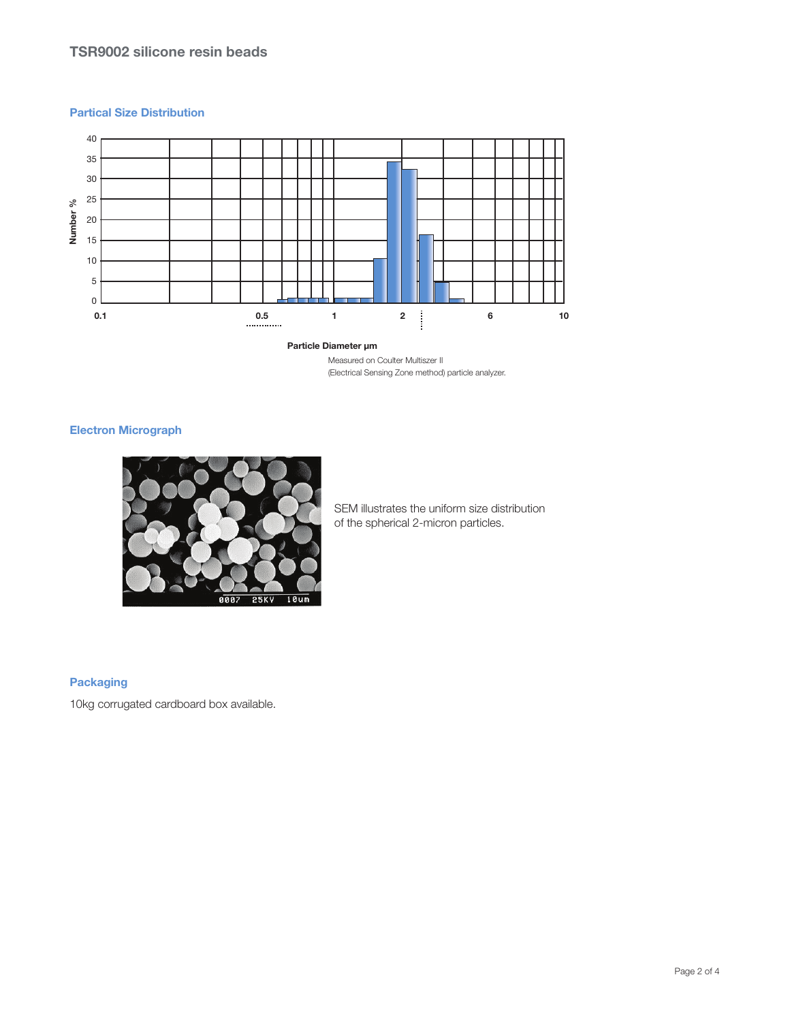### **Partical Size Distribution**



## **Particle Diameter μm**

Measured on Coulter Multiszer II (Electrical Sensing Zone method) particle analyzer.

## **Electron Micrograph**



SEM illustrates the uniform size distribution of the spherical 2-micron particles.

## **Packaging**

10kg corrugated cardboard box available.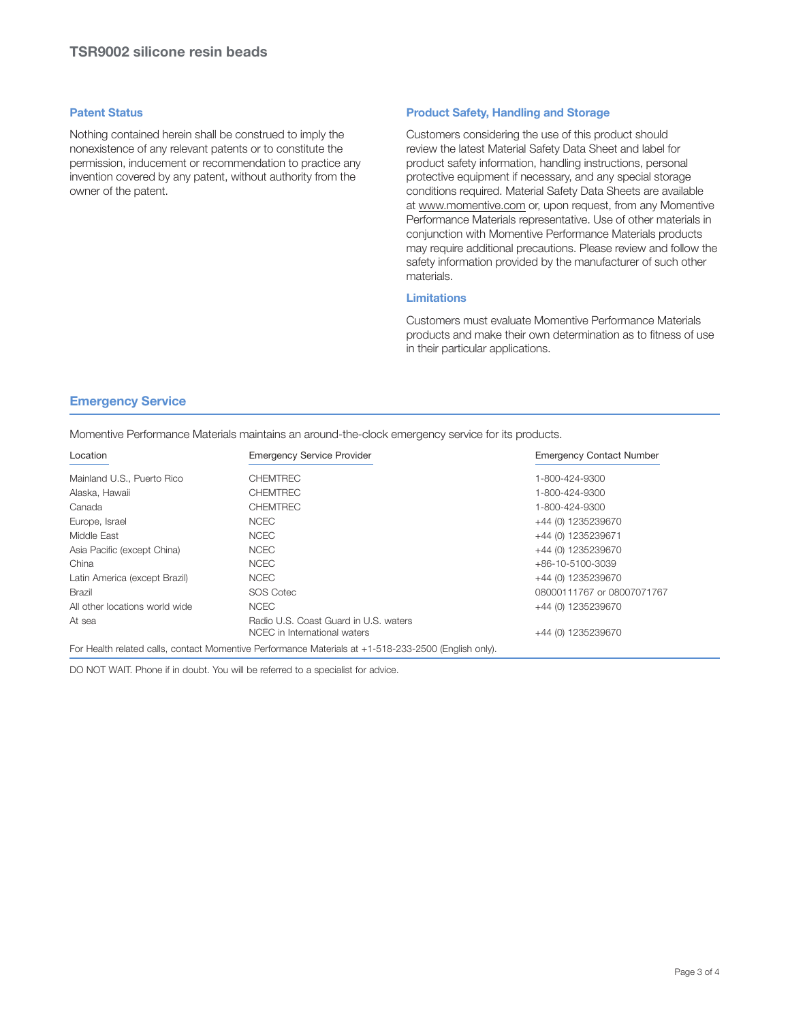#### **Patent Status**

Nothing contained herein shall be construed to imply the nonexistence of any relevant patents or to constitute the permission, inducement or recommendation to practice any invention covered by any patent, without authority from the owner of the patent.

### **Product Safety, Handling and Storage**

Customers considering the use of this product should review the latest Material Safety Data Sheet and label for product safety information, handling instructions, personal protective equipment if necessary, and any special storage conditions required. Material Safety Data Sheets are available at www.momentive.com or, upon request, from any Momentive Performance Materials representative. Use of other materials in conjunction with Momentive Performance Materials products may require additional precautions. Please review and follow the safety information provided by the manufacturer of such other materials.

## **Limitations**

Customers must evaluate Momentive Performance Materials products and make their own determination as to fitness of use in their particular applications.

### **Emergency Service**

Momentive Performance Materials maintains an around-the-clock emergency service for its products.

| Location                       | <b>Emergency Service Provider</b>                                                                    | <b>Emergency Contact Number</b> |
|--------------------------------|------------------------------------------------------------------------------------------------------|---------------------------------|
| Mainland U.S., Puerto Rico     | <b>CHEMTREC</b>                                                                                      | 1-800-424-9300                  |
| Alaska, Hawaii                 | <b>CHEMTREC</b>                                                                                      | 1-800-424-9300                  |
| Canada                         | <b>CHEMTREC</b>                                                                                      | 1-800-424-9300                  |
| Europe, Israel                 | <b>NCEC</b>                                                                                          | +44 (0) 1235239670              |
| Middle East                    | <b>NCEC</b>                                                                                          | +44 (0) 1235239671              |
| Asia Pacific (except China)    | <b>NCEC</b>                                                                                          | +44 (0) 1235239670              |
| China                          | <b>NCEC</b>                                                                                          | $+86-10-5100-3039$              |
| Latin America (except Brazil)  | <b>NCEC</b>                                                                                          | +44 (0) 1235239670              |
| <b>Brazil</b>                  | SOS Cotec                                                                                            | 08000111767 or 08007071767      |
| All other locations world wide | <b>NCEC</b>                                                                                          | +44 (0) 1235239670              |
| At sea                         | Radio U.S. Coast Guard in U.S. waters<br>NCEC in International waters                                | +44 (0) 1235239670              |
|                                | For Health related calls, contact Momentive Performance Materials at +1-518-233-2500 (English only). |                                 |

DO NOT WAIT. Phone if in doubt. You will be referred to a specialist for advice.